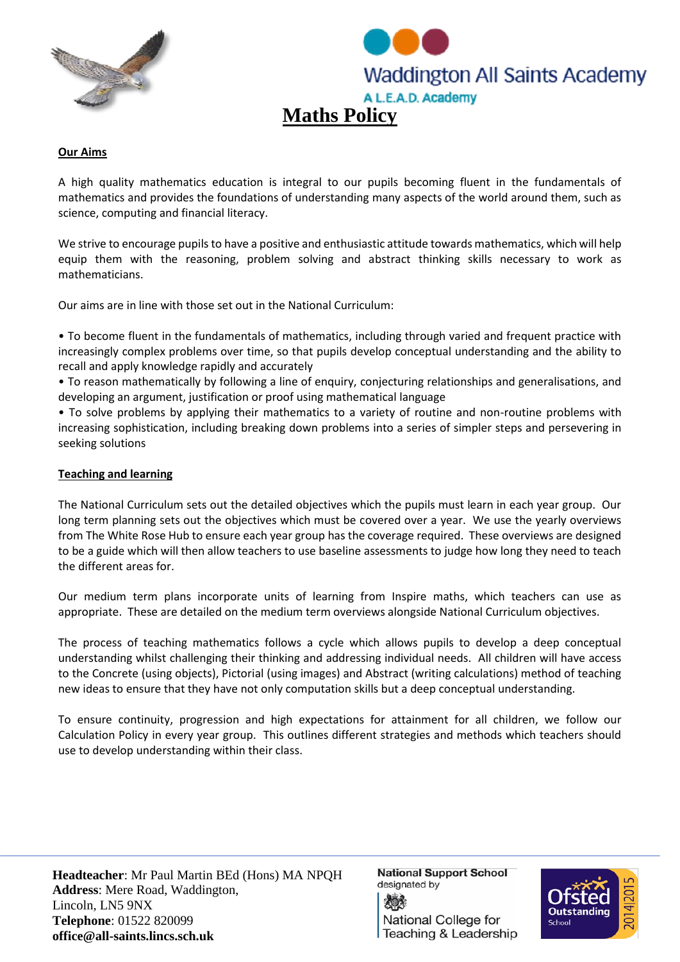



## **Our Aims**

A high quality mathematics education is integral to our pupils becoming fluent in the fundamentals of mathematics and provides the foundations of understanding many aspects of the world around them, such as science, computing and financial literacy.

We strive to encourage pupils to have a positive and enthusiastic attitude towards mathematics, which will help equip them with the reasoning, problem solving and abstract thinking skills necessary to work as mathematicians.

Our aims are in line with those set out in the National Curriculum:

• To become fluent in the fundamentals of mathematics, including through varied and frequent practice with increasingly complex problems over time, so that pupils develop conceptual understanding and the ability to recall and apply knowledge rapidly and accurately

• To reason mathematically by following a line of enquiry, conjecturing relationships and generalisations, and developing an argument, justification or proof using mathematical language

• To solve problems by applying their mathematics to a variety of routine and non-routine problems with increasing sophistication, including breaking down problems into a series of simpler steps and persevering in seeking solutions

## **Teaching and learning**

The National Curriculum sets out the detailed objectives which the pupils must learn in each year group. Our long term planning sets out the objectives which must be covered over a year. We use the yearly overviews from The White Rose Hub to ensure each year group has the coverage required. These overviews are designed to be a guide which will then allow teachers to use baseline assessments to judge how long they need to teach the different areas for.

Our medium term plans incorporate units of learning from Inspire maths, which teachers can use as appropriate. These are detailed on the medium term overviews alongside National Curriculum objectives.

The process of teaching mathematics follows a cycle which allows pupils to develop a deep conceptual understanding whilst challenging their thinking and addressing individual needs. All children will have access to the Concrete (using objects), Pictorial (using images) and Abstract (writing calculations) method of teaching new ideas to ensure that they have not only computation skills but a deep conceptual understanding.

To ensure continuity, progression and high expectations for attainment for all children, we follow our Calculation Policy in every year group. This outlines different strategies and methods which teachers should use to develop understanding within their class.

**Headteacher**: Mr Paul Martin BEd (Hons) MA NPQH **Address**: Mere Road, Waddington, Lincoln, LN5 9NX **Telephone**: 01522 820099 **office@all-saints.lincs.sch.uk**

**National Support School** designated by National College for Teaching & Leadership